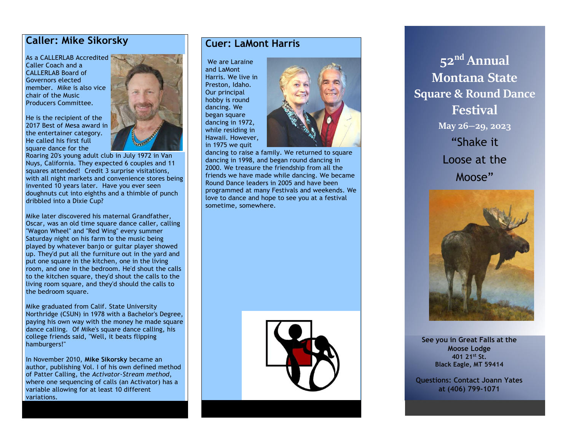## **Caller: Mike Sikorsky**

As a CALLERLAB Accredited Caller Coach and a CALLERLAB Board of Governors elected member. Mike is also vice chair of the Music Producers Committee.

He is the recipient of the 2017 Best of Mesa award in the entertainer category. He called his first full square dance for the



Roaring 20's young adult club in July 1972 in Van Nuys, California. They expected 6 couples and 11 squares attended! Credit 3 surprise visitations, with all night markets and convenience stores being invented 10 years later. Have you ever seen doughnuts cut into eighths and a thimble of punch dribbled into a Dixie Cup?

Mike later discovered his maternal Grandfather, Oscar, was an old time square dance caller, calling "Wagon Wheel" and "Red Wing" every summer Saturday night on his farm to the music being played by whatever banjo or guitar player showed up. They'd put all the furniture out in the yard and put one square in the kitchen, one in the living room, and one in the bedroom. He'd shout the calls to the kitchen square, they'd shout the calls to the living room square, and they'd should the calls to the bedroom square.

Mike graduated from Calif. State University Northridge (CSUN) in 1978 with a Bachelor's Degree, paying his own way with the money he made square dance calling. Of Mike's square dance calling, his college friends said, "Well, it beats flipping hamburgers!"

In November 2010, **Mike Sikorsky** became an author, publishing Vol. I of his own defined method of Patter Calling, the *Activator-Stream method*, where one sequencing of calls (an Activator) has a variable allowing for at least 10 different variations.

## **Cuer: LaMont Harris**

We are Laraine and LaMont Harris. We live in Preston, Idaho. Our principal hobby is round dancing. We began square dancing in 1972, while residing in Hawaii. However, in 1975 we quit



dancing to raise a family. We returned to square dancing in 1998, and began round dancing in 2000. We treasure the friendship from all the friends we have made while dancing. We became Round Dance leaders in 2005 and have been programmed at many Festivals and weekends. We love to dance and hope to see you at a festival sometime, somewhere.



**52nd Annual Montana State Square & Round Dance Festival May 26—29, 2023** "Shake it Loose at the Moose"



**See you in Great Falls at the Moose Lodge 401 21st St. Black Eagle, MT 59414**

**Questions: Contact Joann Yates at (406) 799-1071**